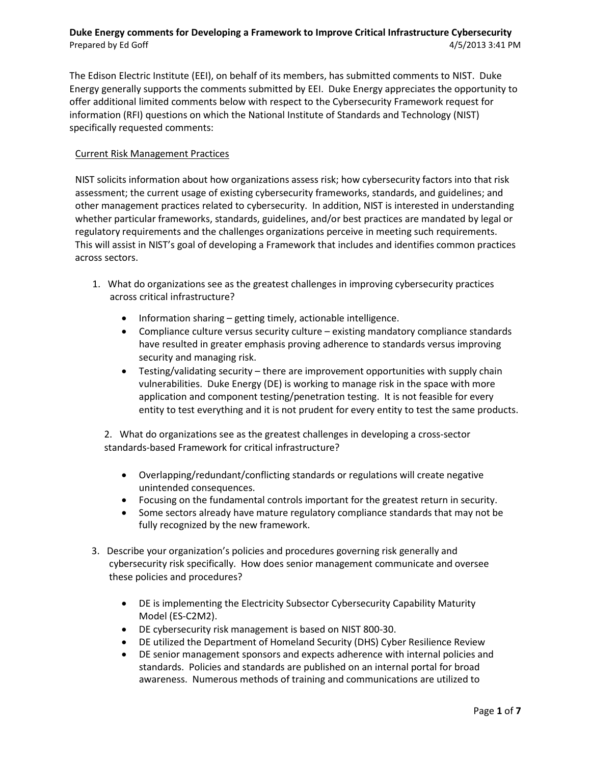The Edison Electric Institute (EEI), on behalf of its members, has submitted comments to NIST. Duke Energy generally supports the comments submitted by EEI. Duke Energy appreciates the opportunity to offer additional limited comments below with respect to the Cybersecurity Framework request for information (RFI) questions on which the National Institute of Standards and Technology (NIST) specifically requested comments:

## Current Risk Management Practices

NIST solicits information about how organizations assess risk; how cybersecurity factors into that risk assessment; the current usage of existing cybersecurity frameworks, standards, and guidelines; and other management practices related to cybersecurity. In addition, NIST is interested in understanding whether particular frameworks, standards, guidelines, and/or best practices are mandated by legal or regulatory requirements and the challenges organizations perceive in meeting such requirements. This will assist in NIST's goal of developing a Framework that includes and identifies common practices across sectors.

- 1. What do organizations see as the greatest challenges in improving cybersecurity practices across critical infrastructure?
	- Information sharing getting timely, actionable intelligence.
	- Compliance culture versus security culture existing mandatory compliance standards have resulted in greater emphasis proving adherence to standards versus improving security and managing risk.
	- Testing/validating security there are improvement opportunities with supply chain vulnerabilities. Duke Energy (DE) is working to manage risk in the space with more application and component testing/penetration testing. It is not feasible for every entity to test everything and it is not prudent for every entity to test the same products.

2. What do organizations see as the greatest challenges in developing a cross-sector standards-based Framework for critical infrastructure?

- Overlapping/redundant/conflicting standards or regulations will create negative unintended consequences.
- Focusing on the fundamental controls important for the greatest return in security.
- Some sectors already have mature regulatory compliance standards that may not be fully recognized by the new framework.
- 3. Describe your organization's policies and procedures governing risk generally and cybersecurity risk specifically. How does senior management communicate and oversee these policies and procedures?
	- DE is implementing the Electricity Subsector Cybersecurity Capability Maturity Model (ES-C2M2).
	- DE cybersecurity risk management is based on NIST 800-30.
	- DE utilized the Department of Homeland Security (DHS) Cyber Resilience Review
	- DE senior management sponsors and expects adherence with internal policies and standards. Policies and standards are published on an internal portal for broad awareness. Numerous methods of training and communications are utilized to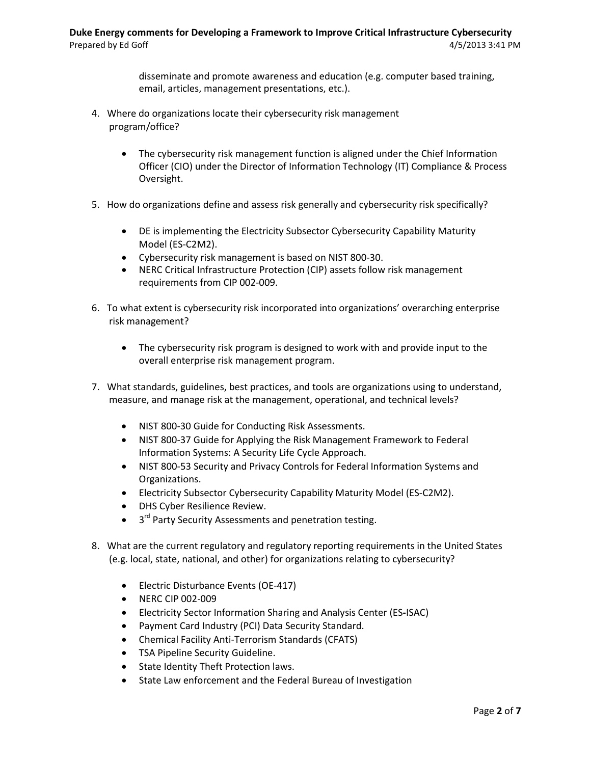disseminate and promote awareness and education (e.g. computer based training, email, articles, management presentations, etc.).

- 4. Where do organizations locate their cybersecurity risk management program/office?
	- The cybersecurity risk management function is aligned under the Chief Information Officer (CIO) under the Director of Information Technology (IT) Compliance & Process Oversight.
- 5. How do organizations define and assess risk generally and cybersecurity risk specifically?
	- DE is implementing the Electricity Subsector Cybersecurity Capability Maturity Model (ES-C2M2).
	- Cybersecurity risk management is based on NIST 800-30.
	- NERC Critical Infrastructure Protection (CIP) assets follow risk management requirements from CIP 002-009.
- 6. To what extent is cybersecurity risk incorporated into organizations' overarching enterprise risk management?
	- The cybersecurity risk program is designed to work with and provide input to the overall enterprise risk management program.
- 7. What standards, guidelines, best practices, and tools are organizations using to understand, measure, and manage risk at the management, operational, and technical levels?
	- NIST 800-30 Guide for Conducting Risk Assessments.
	- NIST 800-37 Guide for Applying the Risk Management Framework to Federal Information Systems: A Security Life Cycle Approach.
	- NIST 800-53 Security and Privacy Controls for Federal Information Systems and Organizations.
	- Electricity Subsector Cybersecurity Capability Maturity Model (ES-C2M2).
	- DHS Cyber Resilience Review.
	- 3<sup>rd</sup> Party Security Assessments and penetration testing.
- 8. What are the current regulatory and regulatory reporting requirements in the United States (e.g. local, state, national, and other) for organizations relating to cybersecurity?
	- Electric Disturbance Events (OE-417)
	- NERC CIP 002-009
	- Electricity Sector Information Sharing and Analysis Center (ES**-**ISAC)
	- Payment Card Industry (PCI) Data Security Standard.
	- Chemical Facility Anti-Terrorism Standards (CFATS)
	- TSA Pipeline Security Guideline.
	- State Identity Theft Protection laws.
	- State Law enforcement and the Federal Bureau of Investigation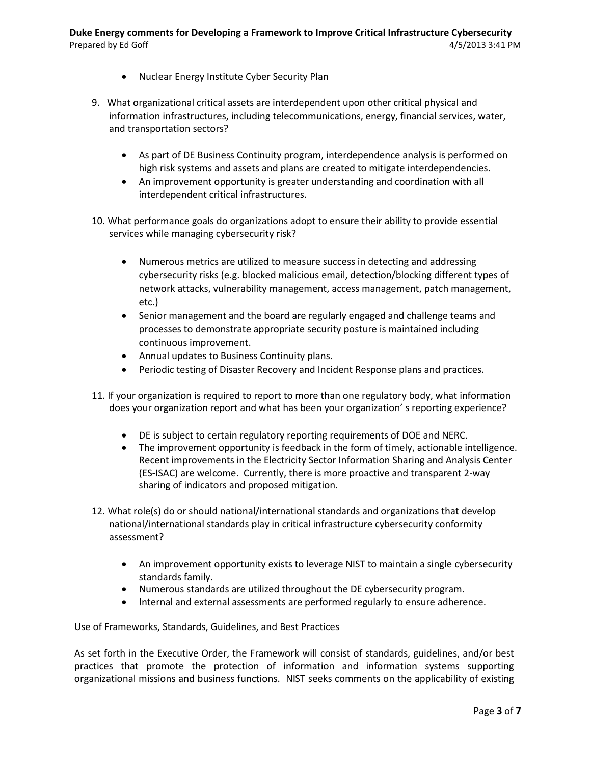- Nuclear Energy Institute Cyber Security Plan
- 9. What organizational critical assets are interdependent upon other critical physical and information infrastructures, including telecommunications, energy, financial services, water, and transportation sectors?
	- As part of DE Business Continuity program, interdependence analysis is performed on high risk systems and assets and plans are created to mitigate interdependencies.
	- An improvement opportunity is greater understanding and coordination with all interdependent critical infrastructures.
- 10. What performance goals do organizations adopt to ensure their ability to provide essential services while managing cybersecurity risk?
	- Numerous metrics are utilized to measure success in detecting and addressing cybersecurity risks (e.g. blocked malicious email, detection/blocking different types of network attacks, vulnerability management, access management, patch management, etc.)
	- Senior management and the board are regularly engaged and challenge teams and processes to demonstrate appropriate security posture is maintained including continuous improvement.
	- Annual updates to Business Continuity plans.
	- Periodic testing of Disaster Recovery and Incident Response plans and practices.
- 11. If your organization is required to report to more than one regulatory body, what information does your organization report and what has been your organization' s reporting experience?
	- DE is subject to certain regulatory reporting requirements of DOE and NERC.
	- The improvement opportunity is feedback in the form of timely, actionable intelligence. Recent improvements in the Electricity Sector Information Sharing and Analysis Center (ES**-**ISAC) are welcome. Currently, there is more proactive and transparent 2-way sharing of indicators and proposed mitigation.
- 12. What role(s) do or should national/international standards and organizations that develop national/international standards play in critical infrastructure cybersecurity conformity assessment?
	- An improvement opportunity exists to leverage NIST to maintain a single cybersecurity standards family.
	- Numerous standards are utilized throughout the DE cybersecurity program.
	- Internal and external assessments are performed regularly to ensure adherence.

## Use of Frameworks, Standards, Guidelines, and Best Practices

As set forth in the Executive Order, the Framework will consist of standards, guidelines, and/or best practices that promote the protection of information and information systems supporting organizational missions and business functions. NIST seeks comments on the applicability of existing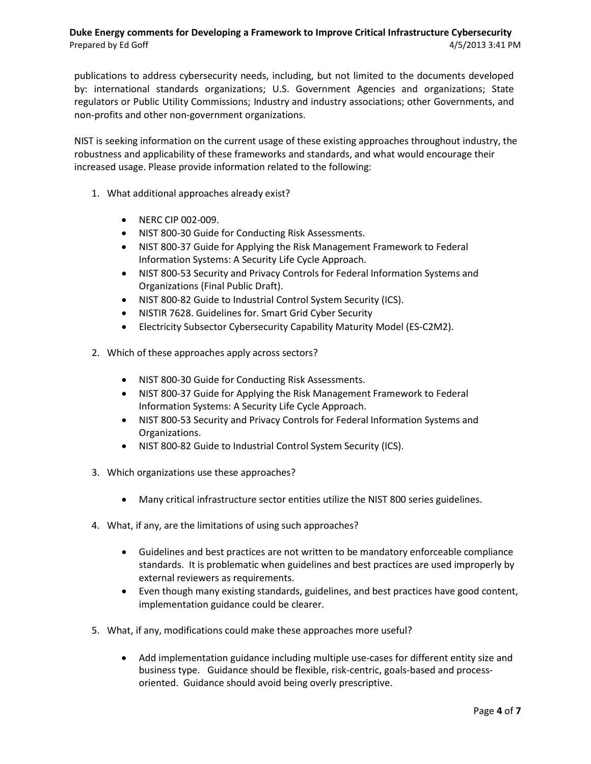publications to address cybersecurity needs, including, but not limited to the documents developed by: international standards organizations; U.S. Government Agencies and organizations; State regulators or Public Utility Commissions; Industry and industry associations; other Governments, and non-profits and other non-government organizations.

NIST is seeking information on the current usage of these existing approaches throughout industry, the robustness and applicability of these frameworks and standards, and what would encourage their increased usage. Please provide information related to the following:

- 1. What additional approaches already exist?
	- NERC CIP 002-009.
	- NIST 800-30 Guide for Conducting Risk Assessments.
	- NIST 800-37 Guide for Applying the Risk Management Framework to Federal Information Systems: A Security Life Cycle Approach.
	- NIST 800-53 Security and Privacy Controls for Federal Information Systems and Organizations (Final Public Draft).
	- NIST 800-82 Guide to Industrial Control System Security (ICS).
	- NISTIR 7628. Guidelines for. Smart Grid Cyber Security
	- Electricity Subsector Cybersecurity Capability Maturity Model (ES-C2M2).
- 2. Which of these approaches apply across sectors?
	- NIST 800-30 Guide for Conducting Risk Assessments.
	- NIST 800-37 Guide for Applying the Risk Management Framework to Federal Information Systems: A Security Life Cycle Approach.
	- NIST 800-53 Security and Privacy Controls for Federal Information Systems and Organizations.
	- NIST 800-82 Guide to Industrial Control System Security (ICS).
- 3. Which organizations use these approaches?
	- Many critical infrastructure sector entities utilize the NIST 800 series guidelines.
- 4. What, if any, are the limitations of using such approaches?
	- Guidelines and best practices are not written to be mandatory enforceable compliance standards. It is problematic when guidelines and best practices are used improperly by external reviewers as requirements.
	- Even though many existing standards, guidelines, and best practices have good content, implementation guidance could be clearer.
- 5. What, if any, modifications could make these approaches more useful?
	- Add implementation guidance including multiple use-cases for different entity size and business type. Guidance should be flexible, risk-centric, goals-based and processoriented. Guidance should avoid being overly prescriptive.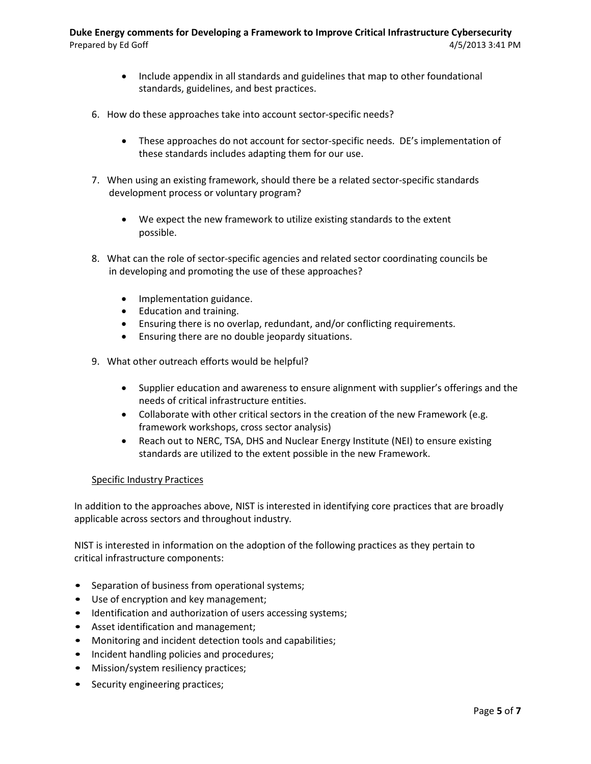- Include appendix in all standards and guidelines that map to other foundational standards, guidelines, and best practices.
- 6. How do these approaches take into account sector-specific needs?
	- These approaches do not account for sector-specific needs. DE's implementation of these standards includes adapting them for our use.
- 7. When using an existing framework, should there be a related sector-specific standards development process or voluntary program?
	- We expect the new framework to utilize existing standards to the extent possible.
- 8. What can the role of sector-specific agencies and related sector coordinating councils be in developing and promoting the use of these approaches?
	- Implementation guidance.
	- Education and training.
	- Ensuring there is no overlap, redundant, and/or conflicting requirements.
	- Ensuring there are no double jeopardy situations.
- 9. What other outreach efforts would be helpful?
	- Supplier education and awareness to ensure alignment with supplier's offerings and the needs of critical infrastructure entities.
	- Collaborate with other critical sectors in the creation of the new Framework (e.g. framework workshops, cross sector analysis)
	- Reach out to NERC, TSA, DHS and Nuclear Energy Institute (NEI) to ensure existing standards are utilized to the extent possible in the new Framework.

## Specific Industry Practices

In addition to the approaches above, NIST is interested in identifying core practices that are broadly applicable across sectors and throughout industry.

NIST is interested in information on the adoption of the following practices as they pertain to critical infrastructure components:

- Separation of business from operational systems;
- Use of encryption and key management;
- Identification and authorization of users accessing systems;
- Asset identification and management;
- Monitoring and incident detection tools and capabilities;
- Incident handling policies and procedures;
- Mission/system resiliency practices;
- Security engineering practices;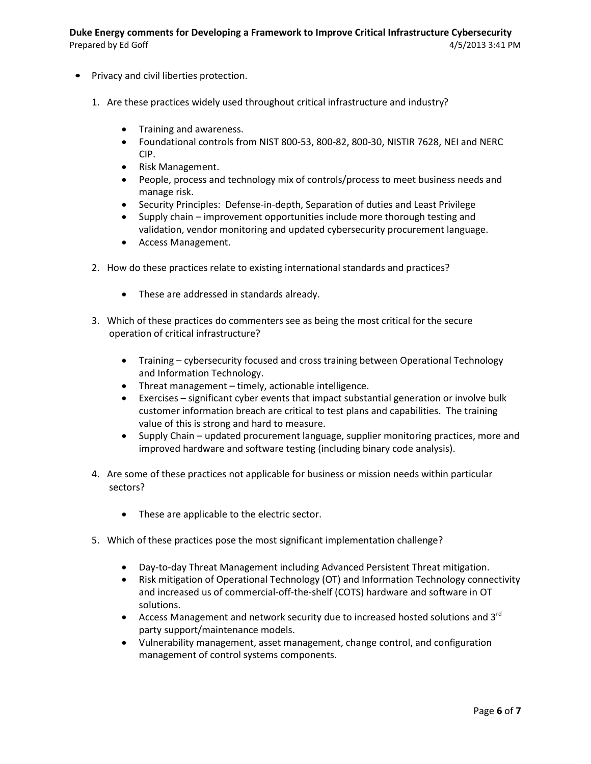- Privacy and civil liberties protection.
	- 1. Are these practices widely used throughout critical infrastructure and industry?
		- Training and awareness.
		- Foundational controls from NIST 800-53, 800-82, 800-30, NISTIR 7628, NEI and NERC CIP.
		- Risk Management.
		- People, process and technology mix of controls/process to meet business needs and manage risk.
		- Security Principles: Defense-in-depth, Separation of duties and Least Privilege
		- Supply chain improvement opportunities include more thorough testing and validation, vendor monitoring and updated cybersecurity procurement language.
		- Access Management.
	- 2. How do these practices relate to existing international standards and practices?
		- These are addressed in standards already.
	- 3. Which of these practices do commenters see as being the most critical for the secure operation of critical infrastructure?
		- Training cybersecurity focused and cross training between Operational Technology and Information Technology.
		- Threat management timely, actionable intelligence.
		- Exercises significant cyber events that impact substantial generation or involve bulk customer information breach are critical to test plans and capabilities. The training value of this is strong and hard to measure.
		- Supply Chain updated procurement language, supplier monitoring practices, more and improved hardware and software testing (including binary code analysis).
	- 4. Are some of these practices not applicable for business or mission needs within particular sectors?
		- These are applicable to the electric sector.
	- 5. Which of these practices pose the most significant implementation challenge?
		- Day-to-day Threat Management including Advanced Persistent Threat mitigation.
		- Risk mitigation of Operational Technology (OT) and Information Technology connectivity and increased us of commercial-off-the-shelf (COTS) hardware and software in OT solutions.
		- Access Management and network security due to increased hosted solutions and 3<sup>rd</sup> party support/maintenance models.
		- Vulnerability management, asset management, change control, and configuration management of control systems components.